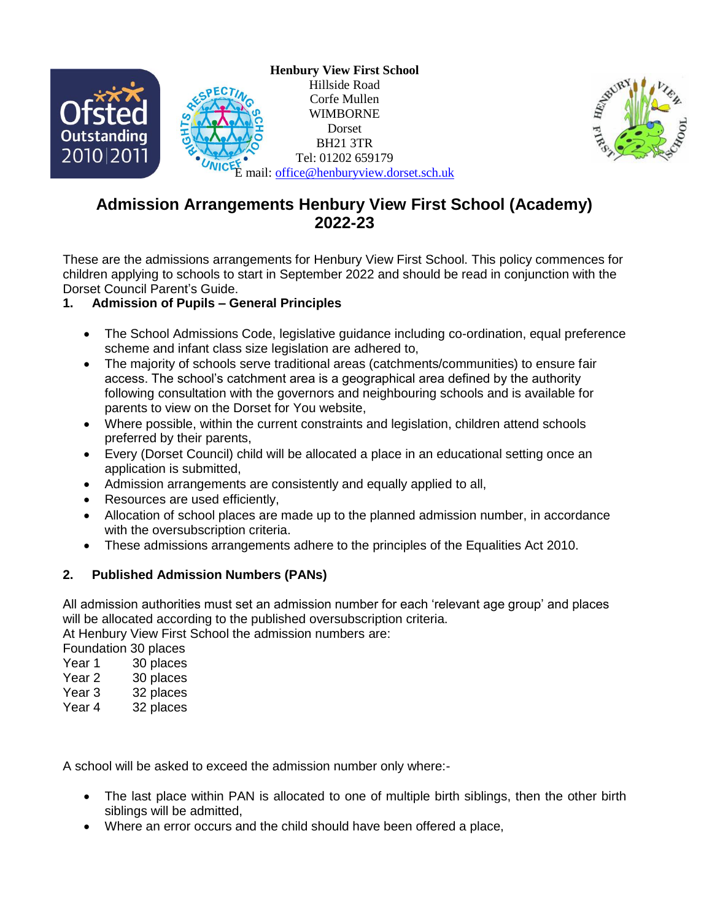



# **Admission Arrangements Henbury View First School (Academy) 2022-23**

These are the admissions arrangements for Henbury View First School. This policy commences for children applying to schools to start in September 2022 and should be read in conjunction with the Dorset Council Parent's Guide.

# **1. Admission of Pupils – General Principles**

- The School Admissions Code, legislative guidance including co-ordination, equal preference scheme and infant class size legislation are adhered to,
- The majority of schools serve traditional areas (catchments/communities) to ensure fair access. The school's catchment area is a geographical area defined by the authority following consultation with the governors and neighbouring schools and is available for parents to view on the Dorset for You website,
- Where possible, within the current constraints and legislation, children attend schools preferred by their parents,
- Every (Dorset Council) child will be allocated a place in an educational setting once an application is submitted,
- Admission arrangements are consistently and equally applied to all,
- Resources are used efficiently,
- Allocation of school places are made up to the planned admission number, in accordance with the oversubscription criteria.
- These admissions arrangements adhere to the principles of the Equalities Act 2010.

# **2. Published Admission Numbers (PANs)**

All admission authorities must set an admission number for each 'relevant age group' and places will be allocated according to the published oversubscription criteria.

At Henbury View First School the admission numbers are:

Foundation 30 places

- Year 1 30 places
- Year 2 30 places
- Year 3 32 places
- Year 4 32 places

A school will be asked to exceed the admission number only where:-

- The last place within PAN is allocated to one of multiple birth siblings, then the other birth siblings will be admitted,
- Where an error occurs and the child should have been offered a place,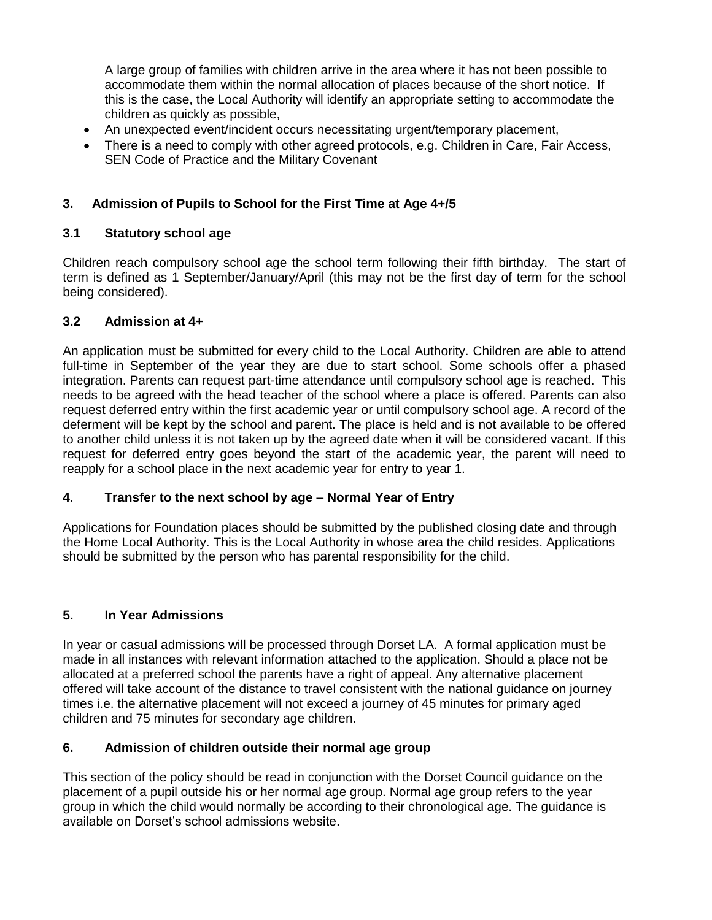A large group of families with children arrive in the area where it has not been possible to accommodate them within the normal allocation of places because of the short notice. If this is the case, the Local Authority will identify an appropriate setting to accommodate the children as quickly as possible,

- An unexpected event/incident occurs necessitating urgent/temporary placement,
- There is a need to comply with other agreed protocols, e.g. Children in Care, Fair Access, SEN Code of Practice and the Military Covenant

## **3. Admission of Pupils to School for the First Time at Age 4+/5**

#### **3.1 Statutory school age**

Children reach compulsory school age the school term following their fifth birthday. The start of term is defined as 1 September/January/April (this may not be the first day of term for the school being considered).

## **3.2 Admission at 4+**

An application must be submitted for every child to the Local Authority. Children are able to attend full-time in September of the year they are due to start school. Some schools offer a phased integration. Parents can request part-time attendance until compulsory school age is reached. This needs to be agreed with the head teacher of the school where a place is offered. Parents can also request deferred entry within the first academic year or until compulsory school age. A record of the deferment will be kept by the school and parent. The place is held and is not available to be offered to another child unless it is not taken up by the agreed date when it will be considered vacant. If this request for deferred entry goes beyond the start of the academic year, the parent will need to reapply for a school place in the next academic year for entry to year 1.

# **4**. **Transfer to the next school by age – Normal Year of Entry**

Applications for Foundation places should be submitted by the published closing date and through the Home Local Authority. This is the Local Authority in whose area the child resides. Applications should be submitted by the person who has parental responsibility for the child.

# **5. In Year Admissions**

In year or casual admissions will be processed through Dorset LA. A formal application must be made in all instances with relevant information attached to the application. Should a place not be allocated at a preferred school the parents have a right of appeal. Any alternative placement offered will take account of the distance to travel consistent with the national guidance on journey times i.e. the alternative placement will not exceed a journey of 45 minutes for primary aged children and 75 minutes for secondary age children.

# **6. Admission of children outside their normal age group**

This section of the policy should be read in conjunction with the Dorset Council guidance on the placement of a pupil outside his or her normal age group. Normal age group refers to the year group in which the child would normally be according to their chronological age. The guidance is available on Dorset's school admissions website.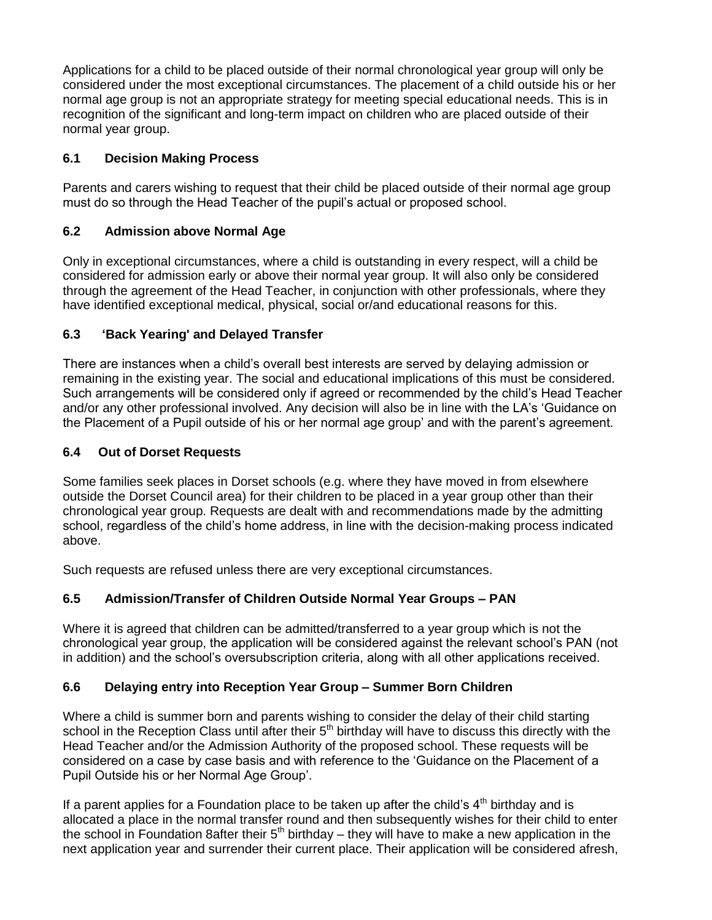Applications for a child to be placed outside of their normal chronological year group will only be considered under the most exceptional circumstances. The placement of a child outside his or her normal age group is not an appropriate strategy for meeting special educational needs. This is in recognition of the significant and long-term impact on children who are placed outside of their normal year group.

## **6.1 Decision Making Process**

Parents and carers wishing to request that their child be placed outside of their normal age group must do so through the Head Teacher of the pupil's actual or proposed school.

## **6.2 Admission above Normal Age**

Only in exceptional circumstances, where a child is outstanding in every respect, will a child be considered for admission early or above their normal year group. It will also only be considered through the agreement of the Head Teacher, in conjunction with other professionals, where they have identified exceptional medical, physical, social or/and educational reasons for this.

## **6.3 'Back Yearing' and Delayed Transfer**

There are instances when a child's overall best interests are served by delaying admission or remaining in the existing year. The social and educational implications of this must be considered. Such arrangements will be considered only if agreed or recommended by the child's Head Teacher and/or any other professional involved. Any decision will also be in line with the LA's 'Guidance on the Placement of a Pupil outside of his or her normal age group' and with the parent's agreement.

#### **6.4 Out of Dorset Requests**

Some families seek places in Dorset schools (e.g. where they have moved in from elsewhere outside the Dorset Council area) for their children to be placed in a year group other than their chronological year group. Requests are dealt with and recommendations made by the admitting school, regardless of the child's home address, in line with the decision-making process indicated above.

Such requests are refused unless there are very exceptional circumstances.

# **6.5 Admission/Transfer of Children Outside Normal Year Groups – PAN**

Where it is agreed that children can be admitted/transferred to a year group which is not the chronological year group, the application will be considered against the relevant school's PAN (not in addition) and the school's oversubscription criteria, along with all other applications received.

#### **6.6 Delaying entry into Reception Year Group – Summer Born Children**

Where a child is summer born and parents wishing to consider the delay of their child starting school in the Reception Class until after their 5<sup>th</sup> birthday will have to discuss this directly with the Head Teacher and/or the Admission Authority of the proposed school. These requests will be considered on a case by case basis and with reference to the 'Guidance on the Placement of a Pupil Outside his or her Normal Age Group'.

If a parent applies for a Foundation place to be taken up after the child's  $4<sup>th</sup>$  birthday and is allocated a place in the normal transfer round and then subsequently wishes for their child to enter the school in Foundation 8after their  $5<sup>th</sup>$  birthday – they will have to make a new application in the next application year and surrender their current place. Their application will be considered afresh,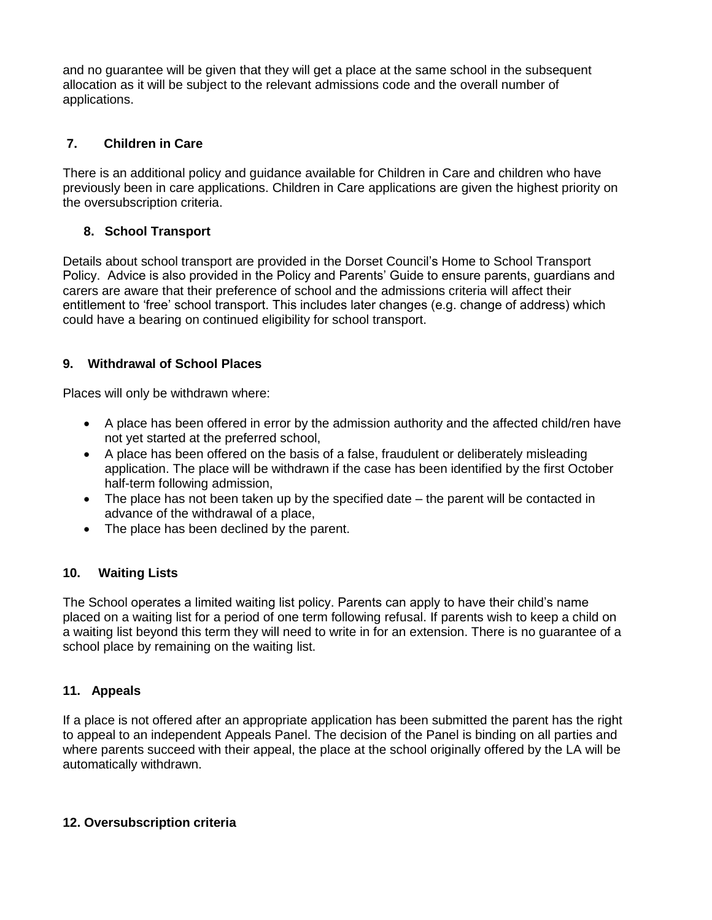and no guarantee will be given that they will get a place at the same school in the subsequent allocation as it will be subject to the relevant admissions code and the overall number of applications.

## **7. Children in Care**

There is an additional policy and guidance available for Children in Care and children who have previously been in care applications. Children in Care applications are given the highest priority on the oversubscription criteria.

#### **8. School Transport**

Details about school transport are provided in the Dorset Council's Home to School Transport Policy. Advice is also provided in the Policy and Parents' Guide to ensure parents, guardians and carers are aware that their preference of school and the admissions criteria will affect their entitlement to 'free' school transport. This includes later changes (e.g. change of address) which could have a bearing on continued eligibility for school transport.

## **9. Withdrawal of School Places**

Places will only be withdrawn where:

- A place has been offered in error by the admission authority and the affected child/ren have not yet started at the preferred school,
- A place has been offered on the basis of a false, fraudulent or deliberately misleading application. The place will be withdrawn if the case has been identified by the first October half-term following admission,
- The place has not been taken up by the specified date the parent will be contacted in advance of the withdrawal of a place,
- The place has been declined by the parent.

#### **10. Waiting Lists**

The School operates a limited waiting list policy. Parents can apply to have their child's name placed on a waiting list for a period of one term following refusal. If parents wish to keep a child on a waiting list beyond this term they will need to write in for an extension. There is no guarantee of a school place by remaining on the waiting list.

#### **11. Appeals**

If a place is not offered after an appropriate application has been submitted the parent has the right to appeal to an independent Appeals Panel. The decision of the Panel is binding on all parties and where parents succeed with their appeal, the place at the school originally offered by the LA will be automatically withdrawn.

#### **12. Oversubscription criteria**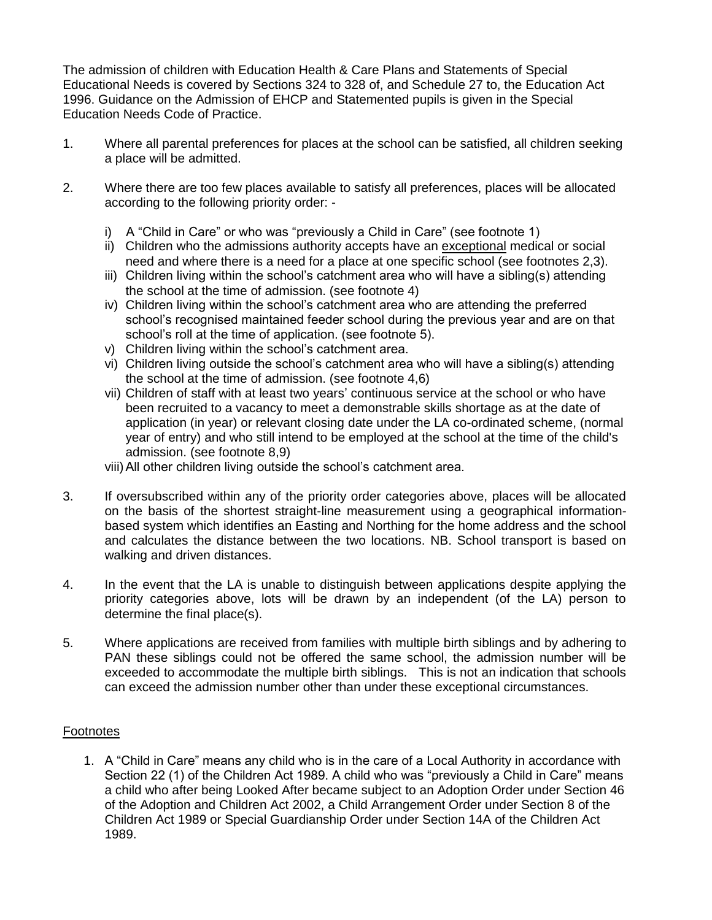The admission of children with Education Health & Care Plans and Statements of Special Educational Needs is covered by Sections 324 to 328 of, and Schedule 27 to, the Education Act 1996. Guidance on the Admission of EHCP and Statemented pupils is given in the Special Education Needs Code of Practice.

- 1. Where all parental preferences for places at the school can be satisfied, all children seeking a place will be admitted.
- 2. Where there are too few places available to satisfy all preferences, places will be allocated according to the following priority order:
	- i) A "Child in Care" or who was "previously a Child in Care" (see footnote 1)
	- ii) Children who the admissions authority accepts have an exceptional medical or social need and where there is a need for a place at one specific school (see footnotes 2,3).
	- iii) Children living within the school's catchment area who will have a sibling(s) attending the school at the time of admission. (see footnote 4)
	- iv) Children living within the school's catchment area who are attending the preferred school's recognised maintained feeder school during the previous year and are on that school's roll at the time of application. (see footnote 5).
	- v) Children living within the school's catchment area.
	- vi) Children living outside the school's catchment area who will have a sibling(s) attending the school at the time of admission. (see footnote 4,6)
	- vii) Children of staff with at least two years' continuous service at the school or who have been recruited to a vacancy to meet a demonstrable skills shortage as at the date of application (in year) or relevant closing date under the LA co-ordinated scheme, (normal year of entry) and who still intend to be employed at the school at the time of the child's admission. (see footnote 8,9)
	- viii)All other children living outside the school's catchment area.
- 3. If oversubscribed within any of the priority order categories above, places will be allocated on the basis of the shortest straight-line measurement using a geographical informationbased system which identifies an Easting and Northing for the home address and the school and calculates the distance between the two locations. NB. School transport is based on walking and driven distances.
- 4. In the event that the LA is unable to distinguish between applications despite applying the priority categories above, lots will be drawn by an independent (of the LA) person to determine the final place(s).
- 5. Where applications are received from families with multiple birth siblings and by adhering to PAN these siblings could not be offered the same school, the admission number will be exceeded to accommodate the multiple birth siblings. This is not an indication that schools can exceed the admission number other than under these exceptional circumstances.

#### Footnotes

1. A "Child in Care" means any child who is in the care of a Local Authority in accordance with Section 22 (1) of the Children Act 1989. A child who was "previously a Child in Care" means a child who after being Looked After became subject to an Adoption Order under Section 46 of the Adoption and Children Act 2002, a Child Arrangement Order under Section 8 of the Children Act 1989 or Special Guardianship Order under Section 14A of the Children Act 1989.